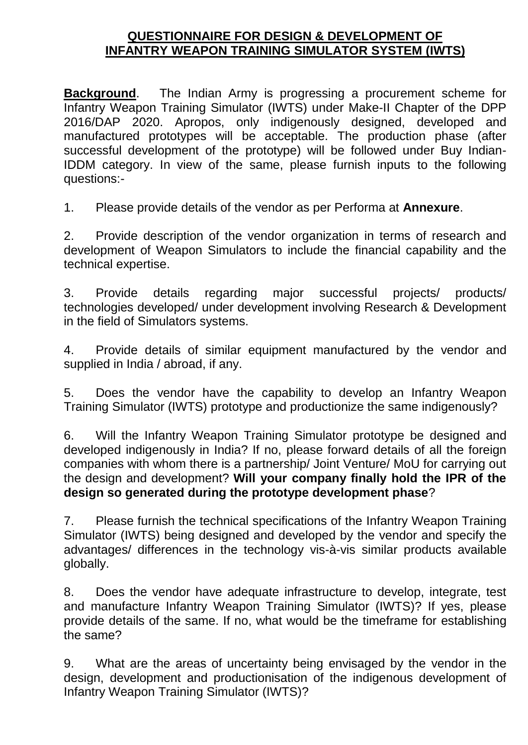## **QUESTIONNAIRE FOR DESIGN & DEVELOPMENT OF INFANTRY WEAPON TRAINING SIMULATOR SYSTEM (IWTS)**

**Background**. The Indian Army is progressing a procurement scheme for Infantry Weapon Training Simulator (IWTS) under Make-II Chapter of the DPP 2016/DAP 2020. Apropos, only indigenously designed, developed and manufactured prototypes will be acceptable. The production phase (after successful development of the prototype) will be followed under Buy Indian-IDDM category. In view of the same, please furnish inputs to the following questions:-

1. Please provide details of the vendor as per Performa at **Annexure**.

2. Provide description of the vendor organization in terms of research and development of Weapon Simulators to include the financial capability and the technical expertise.

3. Provide details regarding major successful projects/ products/ technologies developed/ under development involving Research & Development in the field of Simulators systems.

4. Provide details of similar equipment manufactured by the vendor and supplied in India / abroad, if any.

5. Does the vendor have the capability to develop an Infantry Weapon Training Simulator (IWTS) prototype and productionize the same indigenously?

6. Will the Infantry Weapon Training Simulator prototype be designed and developed indigenously in India? If no, please forward details of all the foreign companies with whom there is a partnership/ Joint Venture/ MoU for carrying out the design and development? **Will your company finally hold the IPR of the design so generated during the prototype development phase**?

7. Please furnish the technical specifications of the Infantry Weapon Training Simulator (IWTS) being designed and developed by the vendor and specify the advantages/ differences in the technology vis-à-vis similar products available globally.

8. Does the vendor have adequate infrastructure to develop, integrate, test and manufacture Infantry Weapon Training Simulator (IWTS)? If yes, please provide details of the same. If no, what would be the timeframe for establishing the same?

9. What are the areas of uncertainty being envisaged by the vendor in the design, development and productionisation of the indigenous development of Infantry Weapon Training Simulator (IWTS)?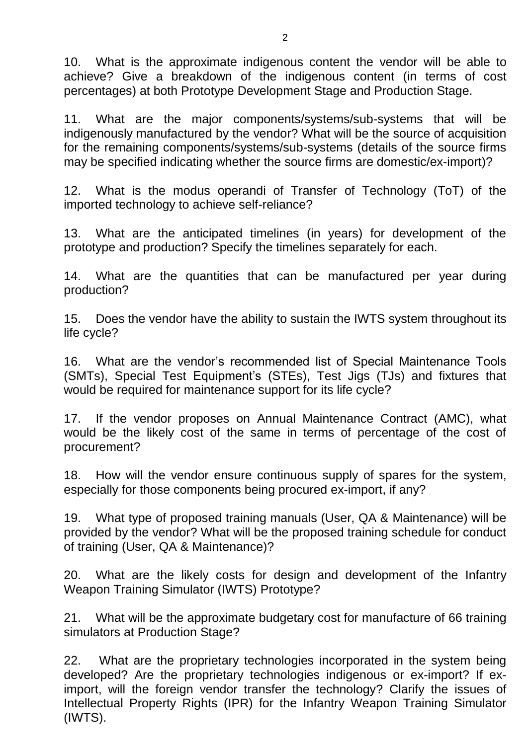10. What is the approximate indigenous content the vendor will be able to achieve? Give a breakdown of the indigenous content (in terms of cost percentages) at both Prototype Development Stage and Production Stage.

11. What are the major components/systems/sub-systems that will be indigenously manufactured by the vendor? What will be the source of acquisition for the remaining components/systems/sub-systems (details of the source firms may be specified indicating whether the source firms are domestic/ex-import)?

12. What is the modus operandi of Transfer of Technology (ToT) of the imported technology to achieve self-reliance?

13. What are the anticipated timelines (in years) for development of the prototype and production? Specify the timelines separately for each.

14. What are the quantities that can be manufactured per year during production?

15. Does the vendor have the ability to sustain the IWTS system throughout its life cycle?

16. What are the vendor's recommended list of Special Maintenance Tools (SMTs), Special Test Equipment's (STEs), Test Jigs (TJs) and fixtures that would be required for maintenance support for its life cycle?

17. If the vendor proposes on Annual Maintenance Contract (AMC), what would be the likely cost of the same in terms of percentage of the cost of procurement?

18. How will the vendor ensure continuous supply of spares for the system, especially for those components being procured ex-import, if any?

19. What type of proposed training manuals (User, QA & Maintenance) will be provided by the vendor? What will be the proposed training schedule for conduct of training (User, QA & Maintenance)?

20. What are the likely costs for design and development of the Infantry Weapon Training Simulator (IWTS) Prototype?

21. What will be the approximate budgetary cost for manufacture of 66 training simulators at Production Stage?

22. What are the proprietary technologies incorporated in the system being developed? Are the proprietary technologies indigenous or ex-import? If eximport, will the foreign vendor transfer the technology? Clarify the issues of Intellectual Property Rights (IPR) for the Infantry Weapon Training Simulator (IWTS).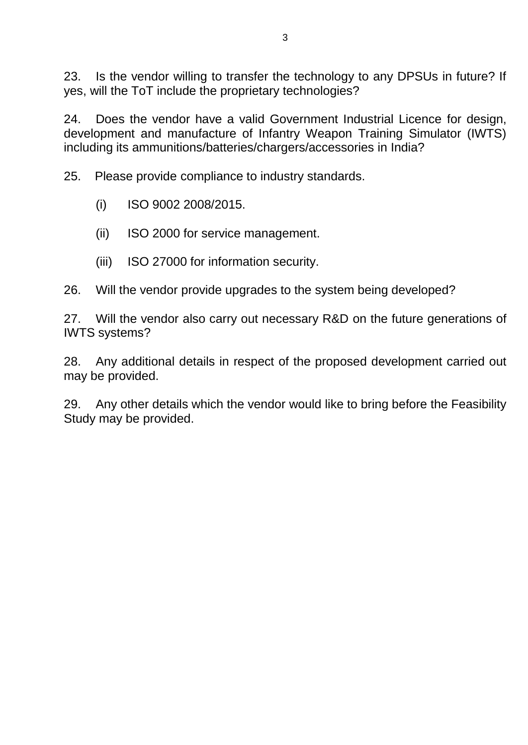23. Is the vendor willing to transfer the technology to any DPSUs in future? If yes, will the ToT include the proprietary technologies?

24. Does the vendor have a valid Government Industrial Licence for design, development and manufacture of Infantry Weapon Training Simulator (IWTS) including its ammunitions/batteries/chargers/accessories in India?

25. Please provide compliance to industry standards.

- (i) ISO 9002 2008/2015.
- (ii) ISO 2000 for service management.
- (iii) ISO 27000 for information security.
- 26. Will the vendor provide upgrades to the system being developed?

27. Will the vendor also carry out necessary R&D on the future generations of IWTS systems?

28. Any additional details in respect of the proposed development carried out may be provided.

29. Any other details which the vendor would like to bring before the Feasibility Study may be provided.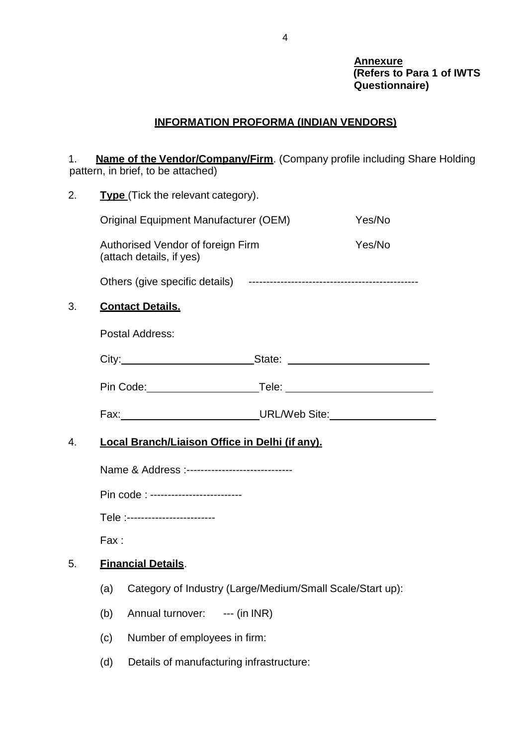#### **Annexure (Refers to Para 1 of IWTS Questionnaire)**

# **INFORMATION PROFORMA (INDIAN VENDORS)**

1. **Name of the Vendor/Company/Firm**. (Company profile including Share Holding pattern, in brief, to be attached)

| 2. | <b>Type</b> (Tick the relevant category).      |                                                                                  |  |        |
|----|------------------------------------------------|----------------------------------------------------------------------------------|--|--------|
|    |                                                | <b>Original Equipment Manufacturer (OEM)</b>                                     |  | Yes/No |
|    |                                                | Authorised Vendor of foreign Firm<br>(attach details, if yes)                    |  | Yes/No |
|    |                                                |                                                                                  |  |        |
| 3. |                                                | <b>Contact Details.</b>                                                          |  |        |
|    |                                                | Postal Address:                                                                  |  |        |
|    |                                                | City:__________________________________State: __________________________________ |  |        |
|    |                                                |                                                                                  |  |        |
|    |                                                | Fax: URL/Web Site: UNERENT CONTINUES                                             |  |        |
|    | Local Branch/Liaison Office in Delhi (if anv). |                                                                                  |  |        |
| 4. |                                                |                                                                                  |  |        |
|    |                                                | Name & Address :------------------------------                                   |  |        |
|    |                                                | Pin code : --------------------------                                            |  |        |
|    |                                                | Tele :-------------------------                                                  |  |        |
|    | Fax:                                           |                                                                                  |  |        |
| 5. |                                                | <b>Financial Details.</b>                                                        |  |        |
|    | (a)                                            | Category of Industry (Large/Medium/Small Scale/Start up):                        |  |        |
|    | (b)                                            | $--$ (in INR)<br>Annual turnover:                                                |  |        |
|    | (c)                                            | Number of employees in firm:                                                     |  |        |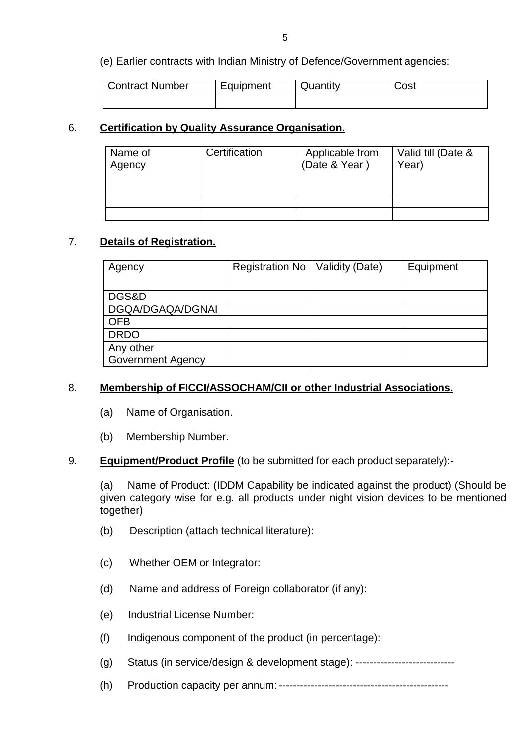(e) Earlier contracts with Indian Ministry of Defence/Government agencies:

| <b>Contract Number</b> | Equipment | Quantity | Cost |
|------------------------|-----------|----------|------|
|                        |           |          |      |

### 6. **Certification by Quality Assurance Organisation.**

| Name of<br>Agency | Certification | Applicable from<br>(Date & Year) | Valid till (Date &<br>Year) |
|-------------------|---------------|----------------------------------|-----------------------------|
|                   |               |                                  |                             |
|                   |               |                                  |                             |

#### 7. **Details of Registration.**

| Agency                   | Registration No   Validity (Date) | Equipment |
|--------------------------|-----------------------------------|-----------|
|                          |                                   |           |
| DGS&D                    |                                   |           |
| DGQA/DGAQA/DGNAI         |                                   |           |
| <b>OFB</b>               |                                   |           |
| <b>DRDO</b>              |                                   |           |
| Any other                |                                   |           |
| <b>Government Agency</b> |                                   |           |

#### 8. **Membership of FICCI/ASSOCHAM/CII or other Industrial Associations.**

- (a) Name of Organisation.
- (b) Membership Number.

#### 9. **Equipment/Product Profile** (to be submitted for each product separately):-

(a) Name of Product: (IDDM Capability be indicated against the product) (Should be given category wise for e.g. all products under night vision devices to be mentioned together)

- (b) Description (attach technical literature):
- (c) Whether OEM or Integrator:
- (d) Name and address of Foreign collaborator (if any):
- (e) Industrial License Number:
- (f) Indigenous component of the product (in percentage):
- (g) Status (in service/design & development stage): ----------------------------
- (h) Production capacity per annum: ------------------------------------------------